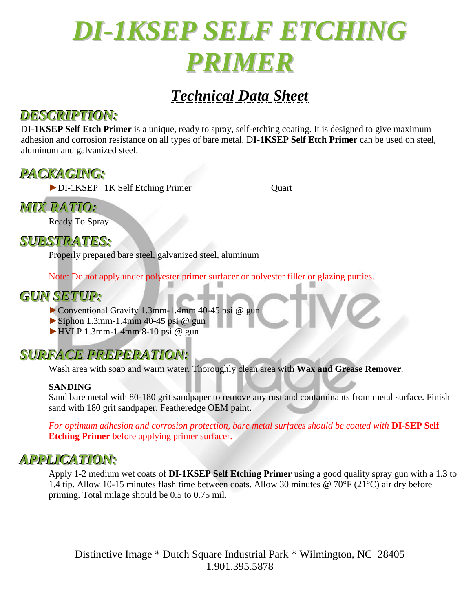

# *Technical Data Sheet*

## *DESCRIPTION:*

D**I-1KSEP Self Etch Primer** is a unique, ready to spray, self-etching coating. It is designed to give maximum adhesion and corrosion resistance on all types of bare metal. D**I-1KSEP Self Etch Primer** can be used on steel, aluminum and galvanized steel.

# *PACKAGING:*

►DI-1KSEP 1K Self Etching Primer Quart

*MIX RATIO:*

Ready To Spray

*SUBSTRATES:*

Properly prepared bare steel, galvanized steel, aluminum

Note: Do not apply under polyester primer surfacer or polyester filler or glazing putties.

# *GUN SETUP:*

- ►Conventional Gravity 1.3mm-1.4mm 40-45 psi @ gun
- $\triangleright$  Siphon 1.3mm-1.4mm 40-45 psi @ gun
- ►HVLP 1.3mm-1.4mm 8-10 psi @ gun

# *SURFACE PREPERATION:*

Wash area with soap and warm water. Thoroughly clean area with **Wax and Grease Remover**.

### **SANDING**

Sand bare metal with 80-180 grit sandpaper to remove any rust and contaminants from metal surface. Finish sand with 180 grit sandpaper. Featheredge OEM paint.

*For optimum adhesion and corrosion protection, bare metal surfaces should be coated with* **DI-SEP Self Etching Primer** before applying primer surfacer.

# *APPLICATION:*

Apply 1-2 medium wet coats of **DI-1KSEP Self Etching Primer** using a good quality spray gun with a 1.3 to 1.4 tip. Allow 10-15 minutes flash time between coats. Allow 30 minutes @ 70°F (21°C) air dry before priming. Total milage should be 0.5 to 0.75 mil.

Distinctive Image \* Dutch Square Industrial Park \* Wilmington, NC 28405 1.901.395.5878